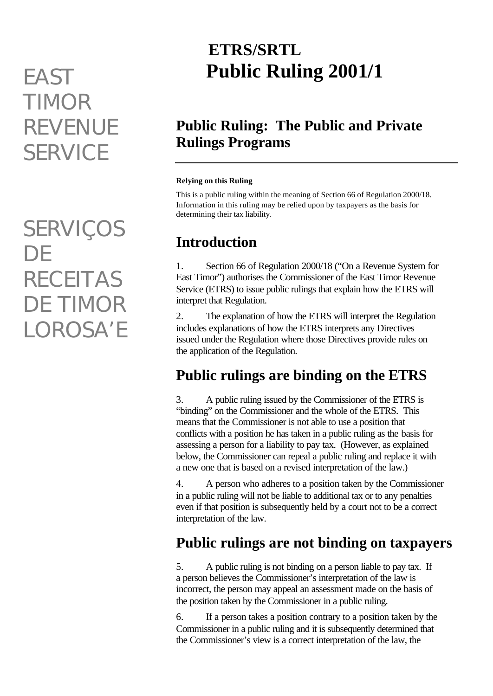# *TIMOR REVENUE SERVICE*

*SERVIÇOS DE RECEITAS DE TIMOR LOROSA'E*

## **ETRS/SRTL Public Ruling 2001/1** *EAST*

#### **Public Ruling: The Public and Private Rulings Programs**

#### **Relying on this Ruling**

This is a public ruling within the meaning of Section 66 of Regulation 2000/18. Information in this ruling may be relied upon by taxpayers as the basis for determining their tax liability.

### **Introduction**

1. Section 66 of Regulation 2000/18 ("On a Revenue System for East Timor") authorises the Commissioner of the East Timor Revenue Service (ETRS) to issue public rulings that explain how the ETRS will interpret that Regulation.

2. The explanation of how the ETRS will interpret the Regulation includes explanations of how the ETRS interprets any Directives issued under the Regulation where those Directives provide rules on the application of the Regulation.

#### **Public rulings are binding on the ETRS**

3. A public ruling issued by the Commissioner of the ETRS is "binding" on the Commissioner and the whole of the ETRS. This means that the Commissioner is not able to use a position that conflicts with a position he has taken in a public ruling as the basis for assessing a person for a liability to pay tax. (However, as explained below, the Commissioner can repeal a public ruling and replace it with a new one that is based on a revised interpretation of the law.)

4. A person who adheres to a position taken by the Commissioner in a public ruling will not be liable to additional tax or to any penalties even if that position is subsequently held by a court not to be a correct interpretation of the law.

#### **Public rulings are not binding on taxpayers**

5. A public ruling is not binding on a person liable to pay tax. If a person believes the Commissioner's interpretation of the law is incorrect, the person may appeal an assessment made on the basis of the position taken by the Commissioner in a public ruling.

6. If a person takes a position contrary to a position taken by the Commissioner in a public ruling and it is subsequently determined that the Commissioner's view is a correct interpretation of the law, the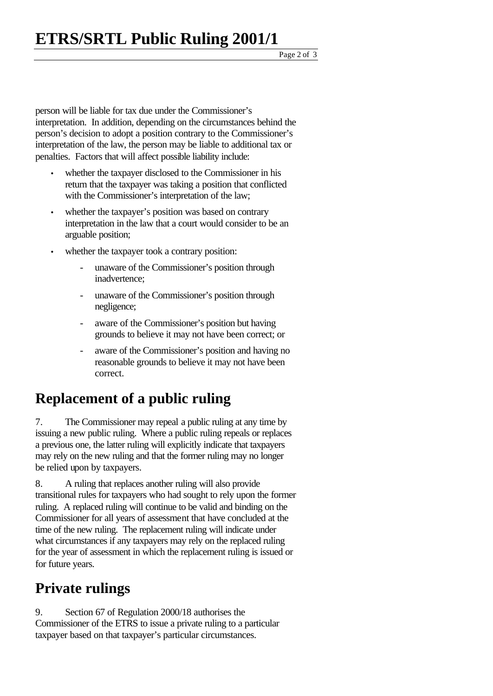Page 2 of 3

person will be liable for tax due under the Commissioner's interpretation. In addition, depending on the circumstances behind the person's decision to adopt a position contrary to the Commissioner's interpretation of the law, the person may be liable to additional tax or penalties. Factors that will affect possible liability include:

- whether the taxpayer disclosed to the Commissioner in his return that the taxpayer was taking a position that conflicted with the Commissioner's interpretation of the law;
- whether the taxpayer's position was based on contrary interpretation in the law that a court would consider to be an arguable position;
- whether the taxpayer took a contrary position:
	- unaware of the Commissioner's position through inadvertence;
	- unaware of the Commissioner's position through negligence;
	- aware of the Commissioner's position but having grounds to believe it may not have been correct; or
	- aware of the Commissioner's position and having no reasonable grounds to believe it may not have been correct.

#### **Replacement of a public ruling**

7. The Commissioner may repeal a public ruling at any time by issuing a new public ruling. Where a public ruling repeals or replaces a previous one, the latter ruling will explicitly indicate that taxpayers may rely on the new ruling and that the former ruling may no longer be relied upon by taxpayers.

8. A ruling that replaces another ruling will also provide transitional rules for taxpayers who had sought to rely upon the former ruling. A replaced ruling will continue to be valid and binding on the Commissioner for all years of assessment that have concluded at the time of the new ruling. The replacement ruling will indicate under what circumstances if any taxpayers may rely on the replaced ruling for the year of assessment in which the replacement ruling is issued or for future years.

#### **Private rulings**

9. Section 67 of Regulation 2000/18 authorises the Commissioner of the ETRS to issue a private ruling to a particular taxpayer based on that taxpayer's particular circumstances.